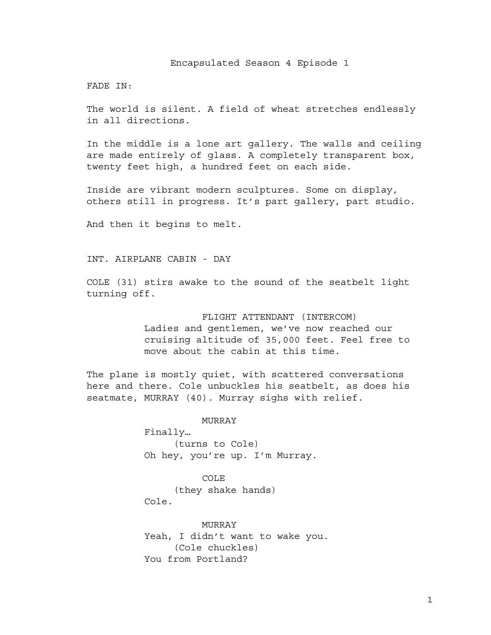Encapsulated Season 4 Episode 1

FADE IN:

The world is silent. A field of wheat stretches endlessly in all directions.

In the middle is a lone art gallery. The walls and ceiling are made entirely of glass. A completely transparent box, twenty feet high, a hundred feet on each side.

Inside are vibrant modern sculptures. Some on display, others still in progress. It's part gallery, part studio.

And then it begins to melt.

INT. AIRPLANE CABIN - DAY

COLE (31) stirs awake to the sound of the seatbelt light turning off.

FLIGHT ATTENDANT (INTERCOM)

Ladies and gentlemen, we've now reached our cruising altitude of 35,000 feet. Feel free to move about the cabin at this time.

The plane is mostly quiet, with scattered conversations here and there. Cole unbuckles his seatbelt, as does his seatmate, MURRAY (40). Murray sighs with relief.

MURRAY

Finally… (turns to Cole) Oh hey, you're up. I'm Murray.

COLE (they shake hands) Cole.

MURRAY Yeah, I didn't want to wake you. (Cole chuckles) You from Portland?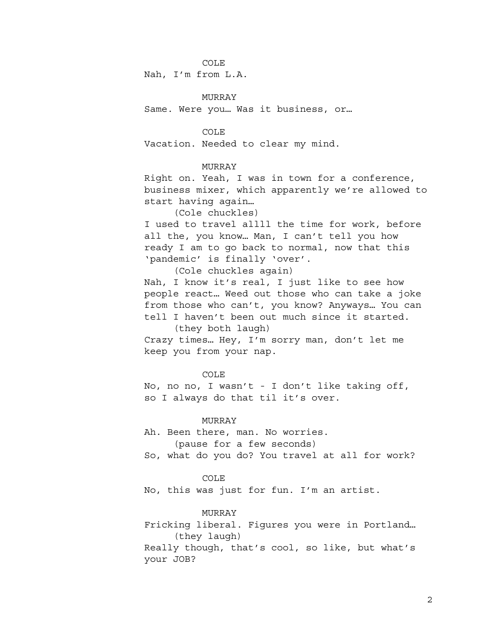Nah, I'm from L.A.

MURRAY

Same. Were you… Was it business, or…

COLE

Vacation. Needed to clear my mind.

## MURRAY

Right on. Yeah, I was in town for a conference, business mixer, which apparently we're allowed to start having again…

(Cole chuckles)

I used to travel allll the time for work, before all the, you know… Man, I can't tell you how ready I am to go back to normal, now that this 'pandemic' is finally 'over'.

(Cole chuckles again) Nah, I know it's real, I just like to see how people react… Weed out those who can take a joke from those who can't, you know? Anyways… You can tell I haven't been out much since it started. (they both laugh)

Crazy times… Hey, I'm sorry man, don't let me keep you from your nap.

# COLE

No, no no, I wasn't - I don't like taking off, so I always do that til it's over.

#### MURRAY

Ah. Been there, man. No worries. (pause for a few seconds) So, what do you do? You travel at all for work?

#### COLE

No, this was just for fun. I'm an artist.

## MURRAY

Fricking liberal. Figures you were in Portland… (they laugh)

Really though, that's cool, so like, but what's your JOB?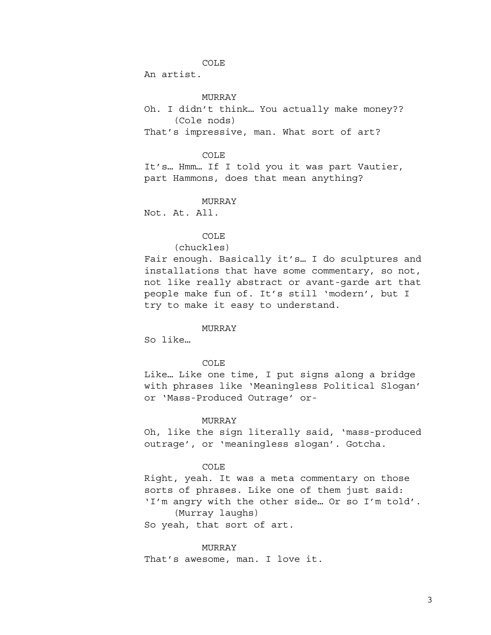An artist.

MURRAY

Oh. I didn't think… You actually make money?? (Cole nods) That's impressive, man. What sort of art?

COLE

It's… Hmm… If I told you it was part Vautier, part Hammons, does that mean anything?

MURRAY

Not. At. All.

COLE

(chuckles)

Fair enough. Basically it's… I do sculptures and installations that have some commentary, so not, not like really abstract or avant-garde art that people make fun of. It's still 'modern', but I try to make it easy to understand.

#### MURRAY

So like…

### COLE

Like… Like one time, I put signs along a bridge with phrases like 'Meaningless Political Slogan' or 'Mass-Produced Outrage' or-

#### MURRAY

Oh, like the sign literally said, 'mass-produced outrage', or 'meaningless slogan'. Gotcha.

## COLE

Right, yeah. It was a meta commentary on those sorts of phrases. Like one of them just said: 'I'm angry with the other side… Or so I'm told'. (Murray laughs)

So yeah, that sort of art.

#### MURRAY

That's awesome, man. I love it.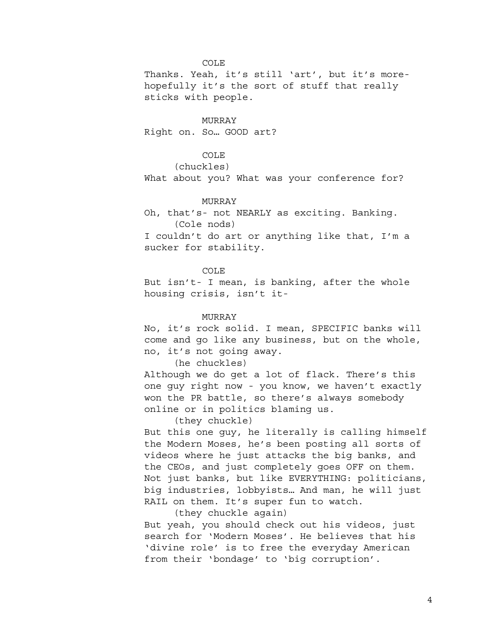Thanks. Yeah, it's still 'art', but it's morehopefully it's the sort of stuff that really sticks with people.

MURRAY Right on. So… GOOD art?

## COLE

(chuckles)

What about you? What was your conference for?

#### MURRAY

Oh, that's- not NEARLY as exciting. Banking. (Cole nods)

I couldn't do art or anything like that, I'm a sucker for stability.

COLE

But isn't- I mean, is banking, after the whole housing crisis, isn't it-

#### MURRAY

No, it's rock solid. I mean, SPECIFIC banks will come and go like any business, but on the whole, no, it's not going away.

(he chuckles)

Although we do get a lot of flack. There's this one guy right now - you know, we haven't exactly won the PR battle, so there's always somebody online or in politics blaming us.

(they chuckle)

But this one guy, he literally is calling himself the Modern Moses, he's been posting all sorts of videos where he just attacks the big banks, and the CEOs, and just completely goes OFF on them. Not just banks, but like EVERYTHING: politicians, big industries, lobbyists… And man, he will just RAIL on them. It's super fun to watch.

(they chuckle again)

But yeah, you should check out his videos, just search for 'Modern Moses'. He believes that his 'divine role' is to free the everyday American from their 'bondage' to 'big corruption'.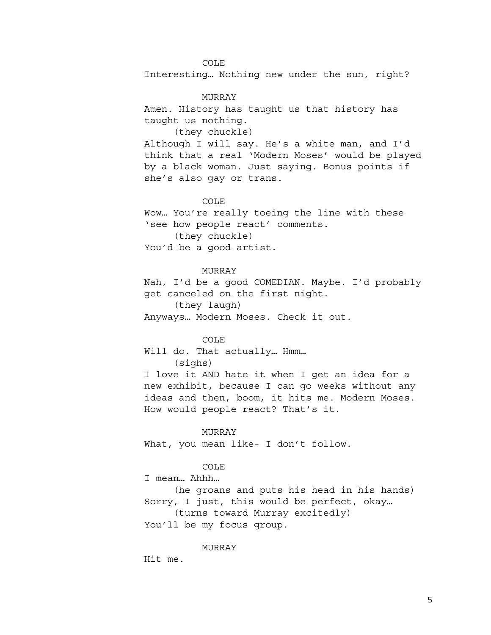COLE Interesting… Nothing new under the sun, right?

MURRAY Amen. History has taught us that history has taught us nothing.

(they chuckle)

Although I will say. He's a white man, and I'd think that a real 'Modern Moses' would be played by a black woman. Just saying. Bonus points if she's also gay or trans.

## COLE

Wow… You're really toeing the line with these 'see how people react' comments. (they chuckle) You'd be a good artist.

# MURRAY

Nah, I'd be a good COMEDIAN. Maybe. I'd probably get canceled on the first night.

(they laugh)

Anyways… Modern Moses. Check it out.

# COLE

Will do. That actually… Hmm… (sighs)

I love it AND hate it when I get an idea for a new exhibit, because I can go weeks without any ideas and then, boom, it hits me. Modern Moses. How would people react? That's it.

# MURRAY

What, you mean like- I don't follow.

## COLE

I mean… Ahhh…

(he groans and puts his head in his hands) Sorry, I just, this would be perfect, okay… (turns toward Murray excitedly)

You'll be my focus group.

MURRAY

Hit me.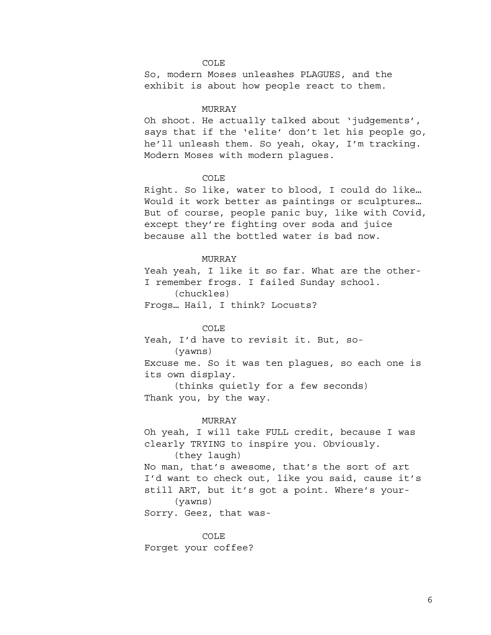So, modern Moses unleashes PLAGUES, and the exhibit is about how people react to them.

#### MURRAY

Oh shoot. He actually talked about 'judgements', says that if the 'elite' don't let his people go, he'll unleash them. So yeah, okay, I'm tracking. Modern Moses with modern plagues.

# COLE

Right. So like, water to blood, I could do like… Would it work better as paintings or sculptures… But of course, people panic buy, like with Covid, except they're fighting over soda and juice because all the bottled water is bad now.

#### MURRAY

Yeah yeah, I like it so far. What are the other-I remember frogs. I failed Sunday school. (chuckles) Frogs… Hail, I think? Locusts?

## COLE

Yeah, I'd have to revisit it. But, so- (yawns) Excuse me. So it was ten plagues, so each one is its own display. (thinks quietly for a few seconds) Thank you, by the way.

#### MURRAY

Oh yeah, I will take FULL credit, because I was clearly TRYING to inspire you. Obviously. (they laugh) No man, that's awesome, that's the sort of art I'd want to check out, like you said, cause it's still ART, but it's got a point. Where's your- (yawns) Sorry. Geez, that was-

COLE Forget your coffee?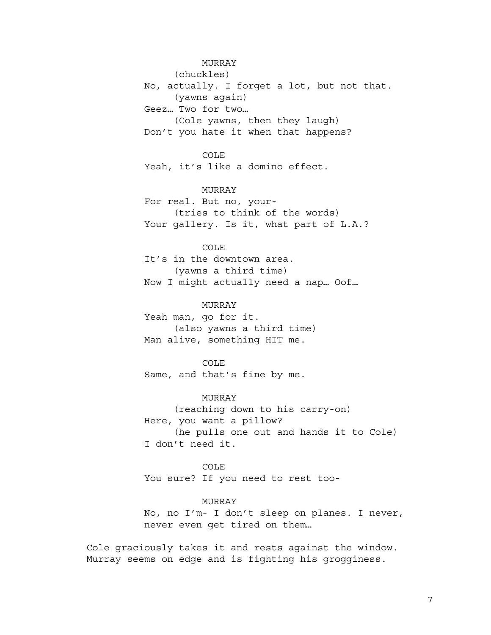MURRAY (chuckles) No, actually. I forget a lot, but not that. (yawns again) Geez… Two for two… (Cole yawns, then they laugh) Don't you hate it when that happens?

COLE

Yeah, it's like a domino effect.

MURRAY

For real. But no, your- (tries to think of the words) Your gallery. Is it, what part of L.A.?

COLE

It's in the downtown area. (yawns a third time) Now I might actually need a nap… Oof…

MURRAY

Yeah man, go for it. (also yawns a third time) Man alive, something HIT me.

COLE Same, and that's fine by me.

MURRAY (reaching down to his carry-on) Here, you want a pillow? (he pulls one out and hands it to Cole) I don't need it.

COLE You sure? If you need to rest too-

MURRAY

No, no I'm- I don't sleep on planes. I never, never even get tired on them…

Cole graciously takes it and rests against the window. Murray seems on edge and is fighting his grogginess.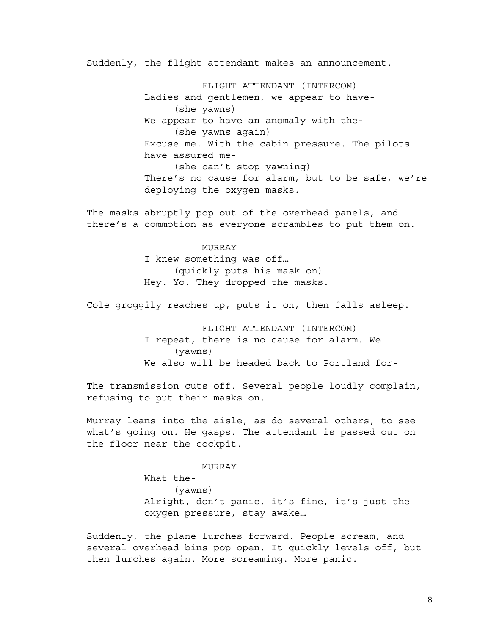Suddenly, the flight attendant makes an announcement.

FLIGHT ATTENDANT (INTERCOM) Ladies and gentlemen, we appear to have- (she yawns) We appear to have an anomaly with the- (she yawns again) Excuse me. With the cabin pressure. The pilots have assured me- (she can't stop yawning) There's no cause for alarm, but to be safe, we're deploying the oxygen masks.

The masks abruptly pop out of the overhead panels, and there's a commotion as everyone scrambles to put them on.

## MURRAY

I knew something was off… (quickly puts his mask on) Hey. Yo. They dropped the masks.

Cole groggily reaches up, puts it on, then falls asleep.

FLIGHT ATTENDANT (INTERCOM) I repeat, there is no cause for alarm. We- (yawns) We also will be headed back to Portland for-

The transmission cuts off. Several people loudly complain, refusing to put their masks on.

Murray leans into the aisle, as do several others, to see what's going on. He gasps. The attendant is passed out on the floor near the cockpit.

#### MURRAY

What the- (yawns) Alright, don't panic, it's fine, it's just the oxygen pressure, stay awake…

Suddenly, the plane lurches forward. People scream, and several overhead bins pop open. It quickly levels off, but then lurches again. More screaming. More panic.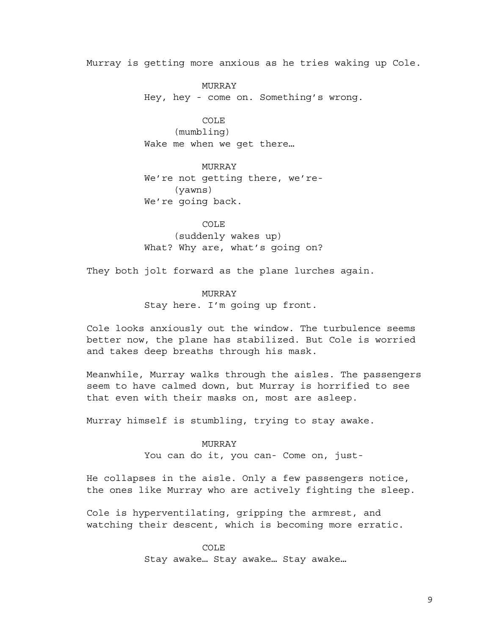Murray is getting more anxious as he tries waking up Cole.

MURRAY Hey, hey - come on. Something's wrong.

COLE (mumbling) Wake me when we get there…

MURRAY We're not getting there, we're- (yawns) We're going back.

COLE (suddenly wakes up) What? Why are, what's going on?

They both jolt forward as the plane lurches again.

# MURRAY

Stay here. I'm going up front.

Cole looks anxiously out the window. The turbulence seems better now, the plane has stabilized. But Cole is worried and takes deep breaths through his mask.

Meanwhile, Murray walks through the aisles. The passengers seem to have calmed down, but Murray is horrified to see that even with their masks on, most are asleep.

Murray himself is stumbling, trying to stay awake.

## MURRAY

You can do it, you can- Come on, just-

He collapses in the aisle. Only a few passengers notice, the ones like Murray who are actively fighting the sleep.

Cole is hyperventilating, gripping the armrest, and watching their descent, which is becoming more erratic.

> COLE Stay awake… Stay awake… Stay awake…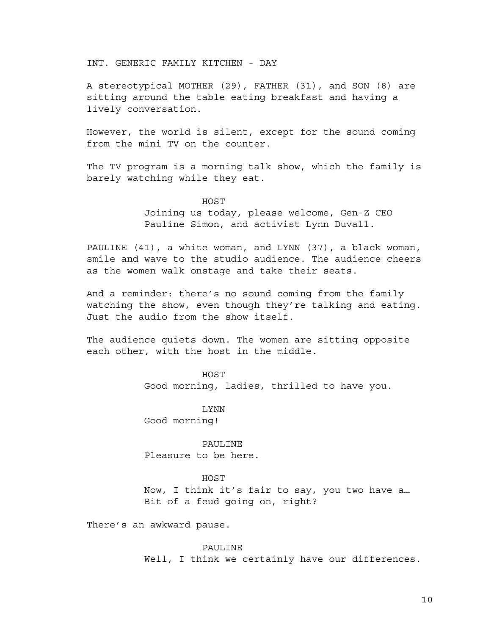INT. GENERIC FAMILY KITCHEN - DAY

A stereotypical MOTHER (29), FATHER (31), and SON (8) are sitting around the table eating breakfast and having a lively conversation.

However, the world is silent, except for the sound coming from the mini TV on the counter.

The TV program is a morning talk show, which the family is barely watching while they eat.

> HOST Joining us today, please welcome, Gen-Z CEO Pauline Simon, and activist Lynn Duvall.

PAULINE (41), a white woman, and LYNN (37), a black woman, smile and wave to the studio audience. The audience cheers as the women walk onstage and take their seats.

And a reminder: there's no sound coming from the family watching the show, even though they're talking and eating. Just the audio from the show itself.

The audience quiets down. The women are sitting opposite each other, with the host in the middle.

> HOST Good morning, ladies, thrilled to have you.

LYNN Good morning!

PAULINE Pleasure to be here.

**HOST** 

Now, I think it's fair to say, you two have a… Bit of a feud going on, right?

There's an awkward pause.

PAULINE Well, I think we certainly have our differences.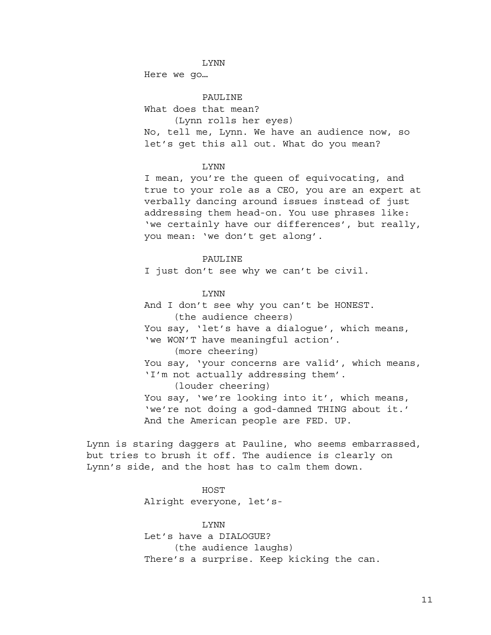#### LYNN

Here we go…

PAULINE What does that mean? (Lynn rolls her eyes) No, tell me, Lynn. We have an audience now, so let's get this all out. What do you mean?

## LYNN

I mean, you're the queen of equivocating, and true to your role as a CEO, you are an expert at verbally dancing around issues instead of just addressing them head-on. You use phrases like: 'we certainly have our differences', but really, you mean: 'we don't get along'.

#### PAULINE

I just don't see why we can't be civil.

## LYNN

And I don't see why you can't be HONEST. (the audience cheers) You say, 'let's have a dialogue', which means, 'we WON'T have meaningful action'. (more cheering) You say, 'your concerns are valid', which means, 'I'm not actually addressing them'. (louder cheering) You say, 'we're looking into it', which means, 'we're not doing a god-damned THING about it.' And the American people are FED. UP.

Lynn is staring daggers at Pauline, who seems embarrassed, but tries to brush it off. The audience is clearly on Lynn's side, and the host has to calm them down.

# HOST

Alright everyone, let's-

## LYNN

Let's have a DIALOGUE? (the audience laughs) There's a surprise. Keep kicking the can.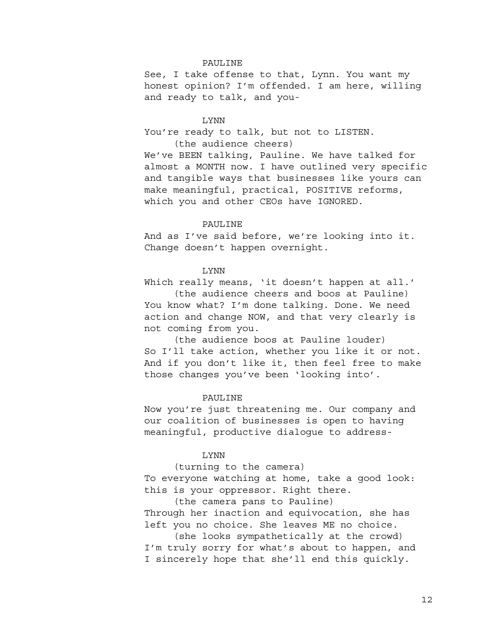# PAULINE

See, I take offense to that, Lynn. You want my honest opinion? I'm offended. I am here, willing and ready to talk, and you-

#### LYNN

You're ready to talk, but not to LISTEN. (the audience cheers)

We've BEEN talking, Pauline. We have talked for almost a MONTH now. I have outlined very specific and tangible ways that businesses like yours can make meaningful, practical, POSITIVE reforms, which you and other CEOs have IGNORED.

## PAULINE

And as I've said before, we're looking into it. Change doesn't happen overnight.

# LYNN

Which really means, 'it doesn't happen at all.'

(the audience cheers and boos at Pauline) You know what? I'm done talking. Done. We need action and change NOW, and that very clearly is not coming from you.

(the audience boos at Pauline louder) So I'll take action, whether you like it or not. And if you don't like it, then feel free to make those changes you've been 'looking into'.

#### PAULINE

Now you're just threatening me. Our company and our coalition of businesses is open to having meaningful, productive dialogue to address-

# LYNN

(turning to the camera)

To everyone watching at home, take a good look: this is your oppressor. Right there.

(the camera pans to Pauline)

Through her inaction and equivocation, she has left you no choice. She leaves ME no choice.

(she looks sympathetically at the crowd) I'm truly sorry for what's about to happen, and I sincerely hope that she'll end this quickly.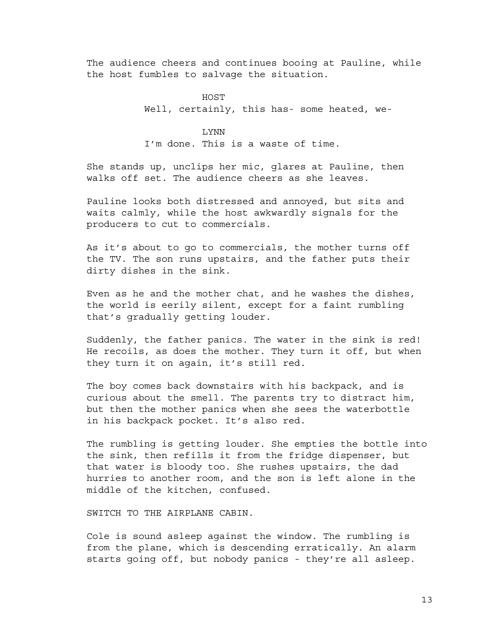The audience cheers and continues booing at Pauline, while the host fumbles to salvage the situation.

> HOST Well, certainly, this has- some heated, we-

# LYNN

I'm done. This is a waste of time.

She stands up, unclips her mic, glares at Pauline, then walks off set. The audience cheers as she leaves.

Pauline looks both distressed and annoyed, but sits and waits calmly, while the host awkwardly signals for the producers to cut to commercials.

As it's about to go to commercials, the mother turns off the TV. The son runs upstairs, and the father puts their dirty dishes in the sink.

Even as he and the mother chat, and he washes the dishes, the world is eerily silent, except for a faint rumbling that's gradually getting louder.

Suddenly, the father panics. The water in the sink is red! He recoils, as does the mother. They turn it off, but when they turn it on again, it's still red.

The boy comes back downstairs with his backpack, and is curious about the smell. The parents try to distract him, but then the mother panics when she sees the waterbottle in his backpack pocket. It's also red.

The rumbling is getting louder. She empties the bottle into the sink, then refills it from the fridge dispenser, but that water is bloody too. She rushes upstairs, the dad hurries to another room, and the son is left alone in the middle of the kitchen, confused.

SWITCH TO THE AIRPLANE CABIN.

Cole is sound asleep against the window. The rumbling is from the plane, which is descending erratically. An alarm starts going off, but nobody panics - they're all asleep.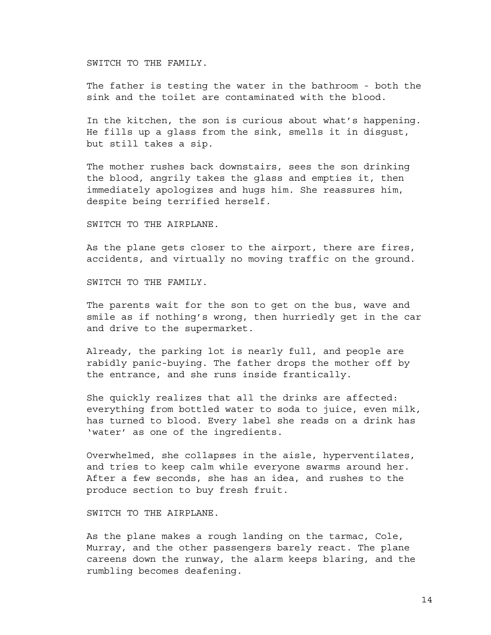SWITCH TO THE FAMILY.

The father is testing the water in the bathroom - both the sink and the toilet are contaminated with the blood.

In the kitchen, the son is curious about what's happening. He fills up a glass from the sink, smells it in disgust, but still takes a sip.

The mother rushes back downstairs, sees the son drinking the blood, angrily takes the glass and empties it, then immediately apologizes and hugs him. She reassures him, despite being terrified herself.

SWITCH TO THE AIRPLANE.

As the plane gets closer to the airport, there are fires, accidents, and virtually no moving traffic on the ground.

SWITCH TO THE FAMILY.

The parents wait for the son to get on the bus, wave and smile as if nothing's wrong, then hurriedly get in the car and drive to the supermarket.

Already, the parking lot is nearly full, and people are rabidly panic-buying. The father drops the mother off by the entrance, and she runs inside frantically.

She quickly realizes that all the drinks are affected: everything from bottled water to soda to juice, even milk, has turned to blood. Every label she reads on a drink has 'water' as one of the ingredients.

Overwhelmed, she collapses in the aisle, hyperventilates, and tries to keep calm while everyone swarms around her. After a few seconds, she has an idea, and rushes to the produce section to buy fresh fruit.

SWITCH TO THE AIRPLANE.

As the plane makes a rough landing on the tarmac, Cole, Murray, and the other passengers barely react. The plane careens down the runway, the alarm keeps blaring, and the rumbling becomes deafening.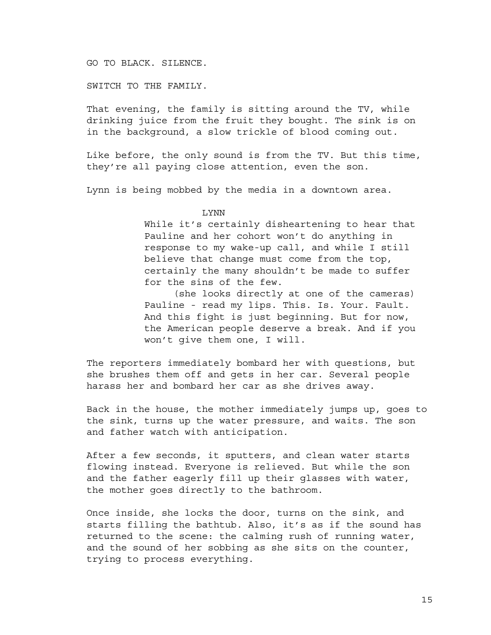GO TO BLACK. SILENCE.

SWITCH TO THE FAMILY.

That evening, the family is sitting around the TV, while drinking juice from the fruit they bought. The sink is on in the background, a slow trickle of blood coming out.

Like before, the only sound is from the TV. But this time, they're all paying close attention, even the son.

Lynn is being mobbed by the media in a downtown area.

LYNN

While it's certainly disheartening to hear that Pauline and her cohort won't do anything in response to my wake-up call, and while I still believe that change must come from the top, certainly the many shouldn't be made to suffer for the sins of the few.

(she looks directly at one of the cameras) Pauline - read my lips. This. Is. Your. Fault. And this fight is just beginning. But for now, the American people deserve a break. And if you won't give them one, I will.

The reporters immediately bombard her with questions, but she brushes them off and gets in her car. Several people harass her and bombard her car as she drives away.

Back in the house, the mother immediately jumps up, goes to the sink, turns up the water pressure, and waits. The son and father watch with anticipation.

After a few seconds, it sputters, and clean water starts flowing instead. Everyone is relieved. But while the son and the father eagerly fill up their glasses with water, the mother goes directly to the bathroom.

Once inside, she locks the door, turns on the sink, and starts filling the bathtub. Also, it's as if the sound has returned to the scene: the calming rush of running water, and the sound of her sobbing as she sits on the counter, trying to process everything.